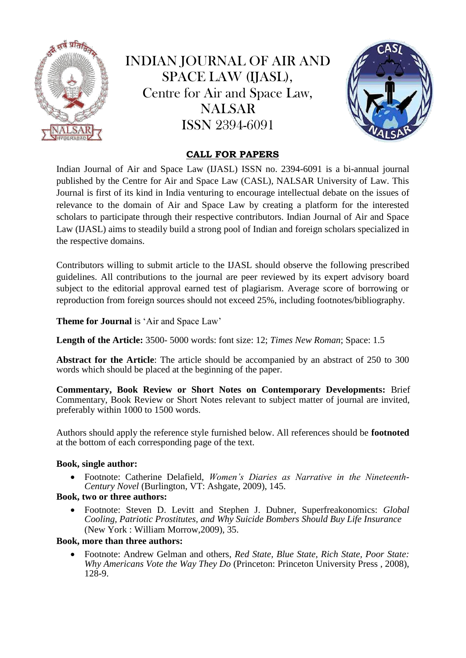

INDIAN JOURNAL OF AIR AND SPACE LAW (IJASL), Centre for Air and Space Law, NALSAR ISSN 2394-6091



# **CALL FOR PAPERS**

Indian Journal of Air and Space Law (IJASL) ISSN no. 2394-6091 is a bi-annual journal published by the Centre for Air and Space Law (CASL), NALSAR University of Law. This Journal is first of its kind in India venturing to encourage intellectual debate on the issues of relevance to the domain of Air and Space Law by creating a platform for the interested scholars to participate through their respective contributors. Indian Journal of Air and Space Law (IJASL) aims to steadily build a strong pool of Indian and foreign scholars specialized in the respective domains.

Contributors willing to submit article to the IJASL should observe the following prescribed guidelines. All contributions to the journal are peer reviewed by its expert advisory board subject to the editorial approval earned test of plagiarism. Average score of borrowing or reproduction from foreign sources should not exceed 25%, including footnotes/bibliography.

Theme for Journal is 'Air and Space Law'

**Length of the Article:** 3500- 5000 words: font size: 12; *Times New Roman*; Space: 1.5

**Abstract for the Article**: The article should be accompanied by an abstract of 250 to 300 words which should be placed at the beginning of the paper.

**Commentary, Book Review or Short Notes on Contemporary Developments:** Brief Commentary, Book Review or Short Notes relevant to subject matter of journal are invited, preferably within 1000 to 1500 words.

Authors should apply the reference style furnished below. All references should be **footnoted** at the bottom of each corresponding page of the text.

# **Book, single author:**

 Footnote: Catherine Delafield, *Women's Diaries as Narrative in the Nineteenth-Century Novel* (Burlington, VT: Ashgate, 2009), 145.

# **Book, two or three authors:**

 Footnote: Steven D. Levitt and Stephen J. Dubner, Superfreakonomics: *Global Cooling, Patriotic Prostitutes, and Why Suicide Bombers Should Buy Life Insurance*  (New York : William Morrow,2009), 35.

# **Book, more than three authors:**

 Footnote: Andrew Gelman and others, *Red State, Blue State, Rich State, Poor State: Why Americans Vote the Way They Do* (Princeton: Princeton University Press , 2008), 128-9.